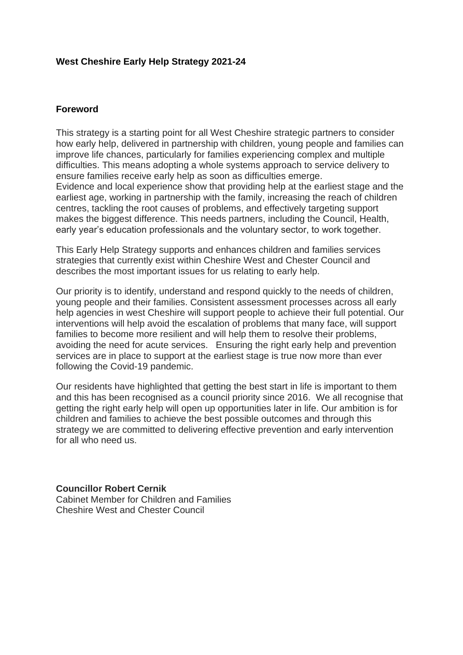### **West Cheshire Early Help Strategy 2021-24**

#### **Foreword**

This strategy is a starting point for all West Cheshire strategic partners to consider how early help, delivered in partnership with children, young people and families can improve life chances, particularly for families experiencing complex and multiple difficulties. This means adopting a whole systems approach to service delivery to ensure families receive early help as soon as difficulties emerge. Evidence and local experience show that providing help at the earliest stage and the earliest age, working in partnership with the family, increasing the reach of children centres, tackling the root causes of problems, and effectively targeting support makes the biggest difference. This needs partners, including the Council, Health, early year's education professionals and the voluntary sector, to work together.

This Early Help Strategy supports and enhances children and families services strategies that currently exist within Cheshire West and Chester Council and describes the most important issues for us relating to early help.

Our priority is to identify, understand and respond quickly to the needs of children, young people and their families. Consistent assessment processes across all early help agencies in west Cheshire will support people to achieve their full potential. Our interventions will help avoid the escalation of problems that many face, will support families to become more resilient and will help them to resolve their problems, avoiding the need for acute services. Ensuring the right early help and prevention services are in place to support at the earliest stage is true now more than ever following the Covid-19 pandemic.

Our residents have highlighted that getting the best start in life is important to them and this has been recognised as a council priority since 2016. We all recognise that getting the right early help will open up opportunities later in life. Our ambition is for children and families to achieve the best possible outcomes and through this strategy we are committed to delivering effective prevention and early intervention for all who need us.

**Councillor Robert Cernik** Cabinet Member for Children and Families Cheshire West and Chester Council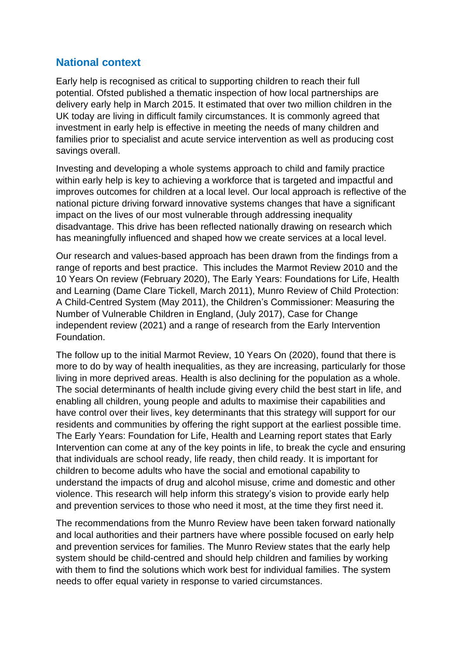# **National context**

Early help is recognised as critical to supporting children to reach their full potential. Ofsted published a thematic inspection of how local partnerships are delivery early help in March 2015. It estimated that over two million children in the UK today are living in difficult family circumstances. It is commonly agreed that investment in early help is effective in meeting the needs of many children and families prior to specialist and acute service intervention as well as producing cost savings overall.

Investing and developing a whole systems approach to child and family practice within early help is key to achieving a workforce that is targeted and impactful and improves outcomes for children at a local level. Our local approach is reflective of the national picture driving forward innovative systems changes that have a significant impact on the lives of our most vulnerable through addressing inequality disadvantage. This drive has been reflected nationally drawing on research which has meaningfully influenced and shaped how we create services at a local level.

Our research and values-based approach has been drawn from the findings from a range of reports and best practice. This includes the Marmot Review 2010 and the 10 Years On review (February 2020), The Early Years: Foundations for Life, Health and Learning (Dame Clare Tickell, March 2011), Munro Review of Child Protection: A Child-Centred System (May 2011), the Children's Commissioner: Measuring the Number of Vulnerable Children in England, (July 2017), Case for Change independent review (2021) and a range of research from the Early Intervention Foundation.

The follow up to the initial Marmot Review, 10 Years On (2020), found that there is more to do by way of health inequalities, as they are increasing, particularly for those living in more deprived areas. Health is also declining for the population as a whole. The social determinants of health include giving every child the best start in life, and enabling all children, young people and adults to maximise their capabilities and have control over their lives, key determinants that this strategy will support for our residents and communities by offering the right support at the earliest possible time. The Early Years: Foundation for Life, Health and Learning report states that Early Intervention can come at any of the key points in life, to break the cycle and ensuring that individuals are school ready, life ready, then child ready. It is important for children to become adults who have the social and emotional capability to understand the impacts of drug and alcohol misuse, crime and domestic and other violence. This research will help inform this strategy's vision to provide early help and prevention services to those who need it most, at the time they first need it.

The recommendations from the Munro Review have been taken forward nationally and local authorities and their partners have where possible focused on early help and prevention services for families. The Munro Review states that the early help system should be child-centred and should help children and families by working with them to find the solutions which work best for individual families. The system needs to offer equal variety in response to varied circumstances.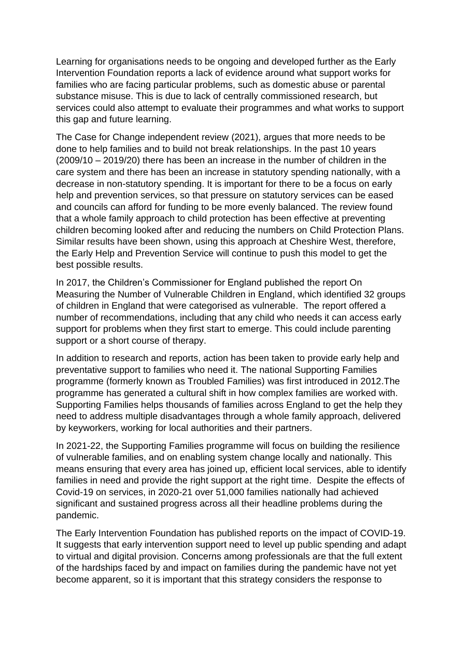Learning for organisations needs to be ongoing and developed further as the Early Intervention Foundation reports a lack of evidence around what support works for families who are facing particular problems, such as domestic abuse or parental substance misuse. This is due to lack of centrally commissioned research, but services could also attempt to evaluate their programmes and what works to support this gap and future learning.

The Case for Change independent review (2021), argues that more needs to be done to help families and to build not break relationships. In the past 10 years (2009/10 – 2019/20) there has been an increase in the number of children in the care system and there has been an increase in statutory spending nationally, with a decrease in non-statutory spending. It is important for there to be a focus on early help and prevention services, so that pressure on statutory services can be eased and councils can afford for funding to be more evenly balanced. The review found that a whole family approach to child protection has been effective at preventing children becoming looked after and reducing the numbers on Child Protection Plans. Similar results have been shown, using this approach at Cheshire West, therefore, the Early Help and Prevention Service will continue to push this model to get the best possible results.

In 2017, the Children's Commissioner for England published the report On Measuring the Number of Vulnerable Children in England, which identified 32 groups of children in England that were categorised as vulnerable. The report offered a number of recommendations, including that any child who needs it can access early support for problems when they first start to emerge. This could include parenting support or a short course of therapy.

In addition to research and reports, action has been taken to provide early help and preventative support to families who need it. The national Supporting Families programme (formerly known as Troubled Families) was first introduced in 2012.The programme has generated a cultural shift in how complex families are worked with. Supporting Families helps thousands of families across England to get the help they need to address multiple disadvantages through a whole family approach, delivered by keyworkers, working for local authorities and their partners.

In 2021-22, the Supporting Families programme will focus on building the resilience of vulnerable families, and on enabling system change locally and nationally. This means ensuring that every area has joined up, efficient local services, able to identify families in need and provide the right support at the right time. Despite the effects of Covid-19 on services, in 2020-21 over 51,000 families nationally had achieved significant and sustained progress across all their headline problems during the pandemic.

The Early Intervention Foundation has published reports on the impact of COVID-19. It suggests that early intervention support need to level up public spending and adapt to virtual and digital provision. Concerns among professionals are that the full extent of the hardships faced by and impact on families during the pandemic have not yet become apparent, so it is important that this strategy considers the response to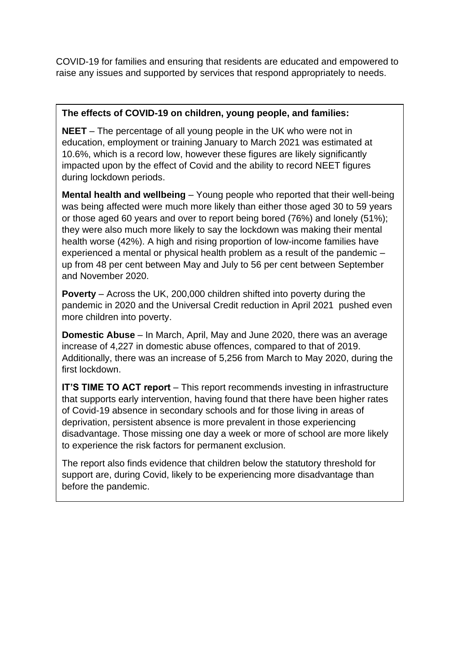COVID-19 for families and ensuring that residents are educated and empowered to raise any issues and supported by services that respond appropriately to needs.

### **The effects of COVID-19 on children, young people, and families:**

**NEET** – The percentage of all young people in the UK who were not in education, employment or training January to March 2021 was estimated at 10.6%, which is a record low, however these figures are likely significantly impacted upon by the effect of Covid and the ability to record NEET figures during lockdown periods.

**Mental health and wellbeing** - Young people who reported that their well-being was being affected were much more likely than either those aged 30 to 59 years or those aged 60 years and over to report being bored (76%) and lonely (51%); they were also much more likely to say the lockdown was making their mental health worse (42%). A high and rising proportion of low-income families have experienced a mental or physical health problem as a result of the pandemic – up from 48 per cent between May and July to 56 per cent between September and November 2020.

**Poverty** – Across the UK, 200,000 children shifted into poverty during the pandemic in 2020 and the Universal Credit reduction in April 2021 pushed even more children into poverty.

**Domestic Abuse** – In March, April, May and June 2020, there was an average increase of 4,227 in domestic abuse offences, compared to that of 2019. Additionally, there was an increase of 5,256 from March to May 2020, during the first lockdown.

**IT'S TIME TO ACT report** – This report recommends investing in infrastructure that supports early intervention, having found that there have been higher rates of Covid-19 absence in secondary schools and for those living in areas of deprivation, persistent absence is more prevalent in those experiencing disadvantage. Those missing one day a week or more of school are more likely to experience the risk factors for permanent exclusion.

The report also finds evidence that children below the statutory threshold for support are, during Covid, likely to be experiencing more disadvantage than before the pandemic.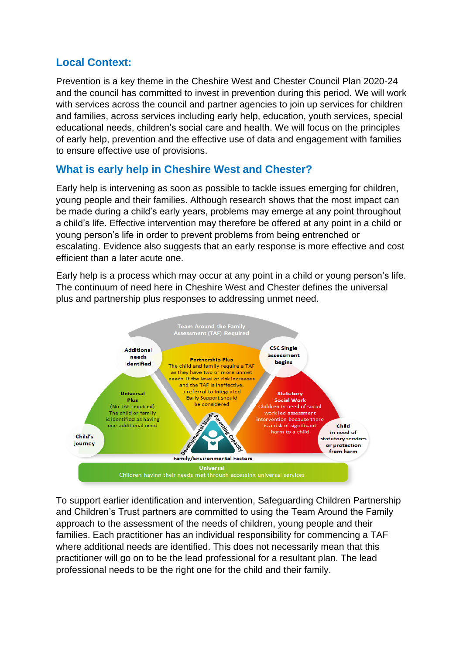# **Local Context:**

Prevention is a key theme in the Cheshire West and Chester Council Plan 2020-24 and the council has committed to invest in prevention during this period. We will work with services across the council and partner agencies to join up services for children and families, across services including early help, education, youth services, special educational needs, children's social care and health. We will focus on the principles of early help, prevention and the effective use of data and engagement with families to ensure effective use of provisions.

# **What is early help in Cheshire West and Chester?**

Early help is intervening as soon as possible to tackle issues emerging for children, young people and their families. Although research shows that the most impact can be made during a child's early years, problems may emerge at any point throughout a child's life. Effective intervention may therefore be offered at any point in a child or young person's life in order to prevent problems from being entrenched or escalating. Evidence also suggests that an early response is more effective and cost efficient than a later acute one.

Early help is a process which may occur at any point in a child or young person's life. The continuum of need here in Cheshire West and Chester defines the universal plus and partnership plus responses to addressing unmet need.



To support earlier identification and intervention, Safeguarding Children Partnership and Children's Trust partners are committed to using the Team Around the Family approach to the assessment of the needs of children, young people and their families. Each practitioner has an individual responsibility for commencing a TAF where additional needs are identified. This does not necessarily mean that this practitioner will go on to be the lead professional for a resultant plan. The lead professional needs to be the right one for the child and their family.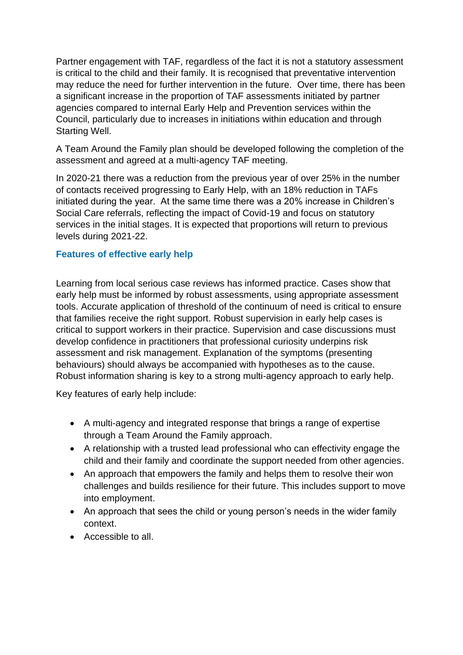Partner engagement with TAF, regardless of the fact it is not a statutory assessment is critical to the child and their family. It is recognised that preventative intervention may reduce the need for further intervention in the future. Over time, there has been a significant increase in the proportion of TAF assessments initiated by partner agencies compared to internal Early Help and Prevention services within the Council, particularly due to increases in initiations within education and through Starting Well.

A Team Around the Family plan should be developed following the completion of the assessment and agreed at a multi-agency TAF meeting.

In 2020-21 there was a reduction from the previous year of over 25% in the number of contacts received progressing to Early Help, with an 18% reduction in TAFs initiated during the year. At the same time there was a 20% increase in Children's Social Care referrals, reflecting the impact of Covid-19 and focus on statutory services in the initial stages. It is expected that proportions will return to previous levels during 2021-22.

# **Features of effective early help**

Learning from local serious case reviews has informed practice. Cases show that early help must be informed by robust assessments, using appropriate assessment tools. Accurate application of threshold of the continuum of need is critical to ensure that families receive the right support. Robust supervision in early help cases is critical to support workers in their practice. Supervision and case discussions must develop confidence in practitioners that professional curiosity underpins risk assessment and risk management. Explanation of the symptoms (presenting behaviours) should always be accompanied with hypotheses as to the cause. Robust information sharing is key to a strong multi-agency approach to early help.

Key features of early help include:

- A multi-agency and integrated response that brings a range of expertise through a Team Around the Family approach.
- A relationship with a trusted lead professional who can effectivity engage the child and their family and coordinate the support needed from other agencies.
- An approach that empowers the family and helps them to resolve their won challenges and builds resilience for their future. This includes support to move into employment.
- An approach that sees the child or young person's needs in the wider family context.
- Accessible to all.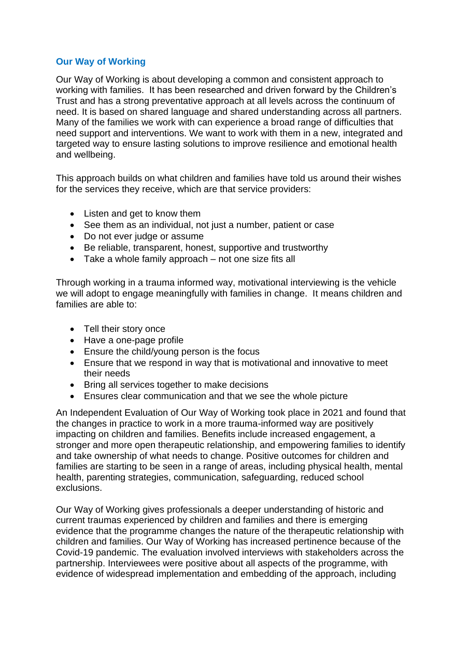### **Our Way of Working**

Our Way of Working is about developing a common and consistent approach to working with families. It has been researched and driven forward by the Children's Trust and has a strong preventative approach at all levels across the continuum of need. It is based on shared language and shared understanding across all partners. Many of the families we work with can experience a broad range of difficulties that need support and interventions. We want to work with them in a new, integrated and targeted way to ensure lasting solutions to improve resilience and emotional health and wellbeing.

This approach builds on what children and families have told us around their wishes for the services they receive, which are that service providers:

- Listen and get to know them
- See them as an individual, not just a number, patient or case
- Do not ever judge or assume
- Be reliable, transparent, honest, supportive and trustworthy
- Take a whole family approach not one size fits all

Through working in a trauma informed way, motivational interviewing is the vehicle we will adopt to engage meaningfully with families in change. It means children and families are able to:

- Tell their story once
- Have a one-page profile
- Ensure the child/young person is the focus
- Ensure that we respond in way that is motivational and innovative to meet their needs
- Bring all services together to make decisions
- Ensures clear communication and that we see the whole picture

An Independent Evaluation of Our Way of Working took place in 2021 and found that the changes in practice to work in a more trauma-informed way are positively impacting on children and families. Benefits include increased engagement, a stronger and more open therapeutic relationship, and empowering families to identify and take ownership of what needs to change. Positive outcomes for children and families are starting to be seen in a range of areas, including physical health, mental health, parenting strategies, communication, safeguarding, reduced school exclusions.

Our Way of Working gives professionals a deeper understanding of historic and current traumas experienced by children and families and there is emerging evidence that the programme changes the nature of the therapeutic relationship with children and families. Our Way of Working has increased pertinence because of the Covid-19 pandemic. The evaluation involved interviews with stakeholders across the partnership. Interviewees were positive about all aspects of the programme, with evidence of widespread implementation and embedding of the approach, including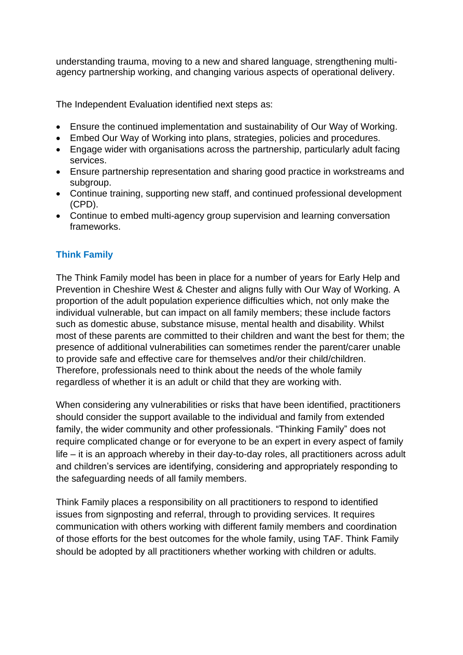understanding trauma, moving to a new and shared language, strengthening multiagency partnership working, and changing various aspects of operational delivery.

The Independent Evaluation identified next steps as:

- Ensure the continued implementation and sustainability of Our Way of Working.
- Embed Our Way of Working into plans, strategies, policies and procedures.
- Engage wider with organisations across the partnership, particularly adult facing services.
- Ensure partnership representation and sharing good practice in workstreams and subgroup.
- Continue training, supporting new staff, and continued professional development (CPD).
- Continue to embed multi-agency group supervision and learning conversation frameworks.

# **Think Family**

The Think Family model has been in place for a number of years for Early Help and Prevention in Cheshire West & Chester and aligns fully with Our Way of Working. A proportion of the adult population experience difficulties which, not only make the individual vulnerable, but can impact on all family members; these include factors such as domestic abuse, substance misuse, mental health and disability. Whilst most of these parents are committed to their children and want the best for them; the presence of additional vulnerabilities can sometimes render the parent/carer unable to provide safe and effective care for themselves and/or their child/children. Therefore, professionals need to think about the needs of the whole family regardless of whether it is an adult or child that they are working with.

When considering any vulnerabilities or risks that have been identified, practitioners should consider the support available to the individual and family from extended family, the wider community and other professionals. "Thinking Family" does not require complicated change or for everyone to be an expert in every aspect of family life – it is an approach whereby in their day-to-day roles, all practitioners across adult and children's services are identifying, considering and appropriately responding to the safeguarding needs of all family members.

Think Family places a responsibility on all practitioners to respond to identified issues from signposting and referral, through to providing services. It requires communication with others working with different family members and coordination of those efforts for the best outcomes for the whole family, using TAF. Think Family should be adopted by all practitioners whether working with children or adults.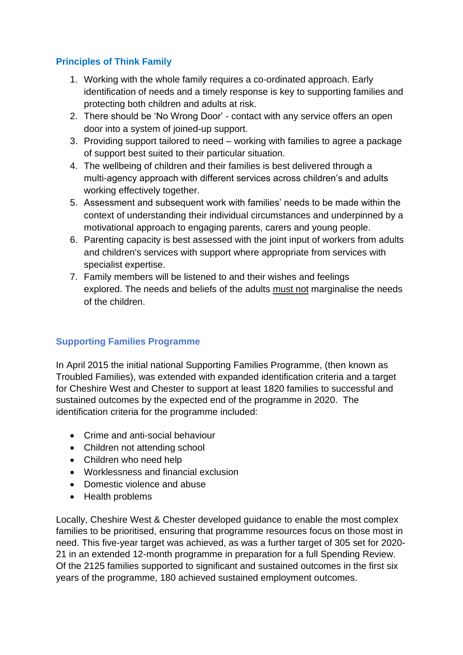# **Principles of Think Family**

- 1. Working with the whole family requires a co-ordinated approach. Early identification of needs and a timely response is key to supporting families and protecting both children and adults at risk.
- 2. There should be 'No Wrong Door' contact with any service offers an open door into a system of joined-up support.
- 3. Providing support tailored to need working with families to agree a package of support best suited to their particular situation.
- 4. The wellbeing of children and their families is best delivered through a multi-agency approach with different services across children's and adults working effectively together.
- 5. Assessment and subsequent work with families' needs to be made within the context of understanding their individual circumstances and underpinned by a motivational approach to engaging parents, carers and young people.
- 6. Parenting capacity is best assessed with the joint input of workers from adults and children's services with support where appropriate from services with specialist expertise.
- 7. Family members will be listened to and their wishes and feelings explored. The needs and beliefs of the adults must not marginalise the needs of the children.

## **Supporting Families Programme**

In April 2015 the initial national Supporting Families Programme, (then known as Troubled Families), was extended with expanded identification criteria and a target for Cheshire West and Chester to support at least 1820 families to successful and sustained outcomes by the expected end of the programme in 2020. The identification criteria for the programme included:

- Crime and anti-social behaviour
- Children not attending school
- Children who need help
- Worklessness and financial exclusion
- Domestic violence and abuse
- Health problems

Locally, Cheshire West & Chester developed guidance to enable the most complex families to be prioritised, ensuring that programme resources focus on those most in need. This five-year target was achieved, as was a further target of 305 set for 2020- 21 in an extended 12-month programme in preparation for a full Spending Review. Of the 2125 families supported to significant and sustained outcomes in the first six years of the programme, 180 achieved sustained employment outcomes.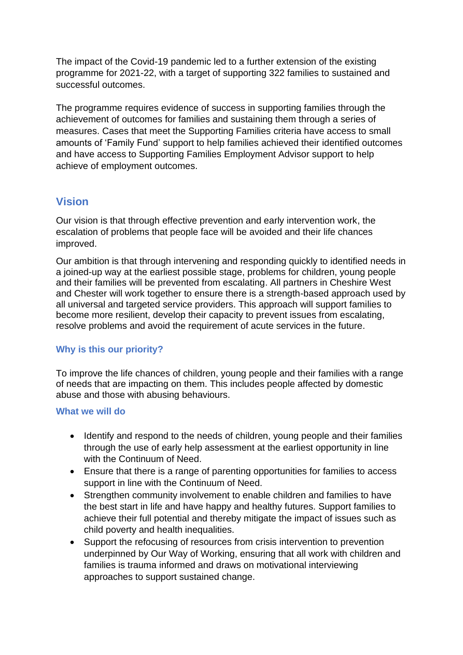The impact of the Covid-19 pandemic led to a further extension of the existing programme for 2021-22, with a target of supporting 322 families to sustained and successful outcomes.

The programme requires evidence of success in supporting families through the achievement of outcomes for families and sustaining them through a series of measures. Cases that meet the Supporting Families criteria have access to small amounts of 'Family Fund' support to help families achieved their identified outcomes and have access to Supporting Families Employment Advisor support to help achieve of employment outcomes.

# **Vision**

Our vision is that through effective prevention and early intervention work, the escalation of problems that people face will be avoided and their life chances improved.

Our ambition is that through intervening and responding quickly to identified needs in a joined-up way at the earliest possible stage, problems for children, young people and their families will be prevented from escalating. All partners in Cheshire West and Chester will work together to ensure there is a strength-based approach used by all universal and targeted service providers. This approach will support families to become more resilient, develop their capacity to prevent issues from escalating, resolve problems and avoid the requirement of acute services in the future.

## **Why is this our priority?**

To improve the life chances of children, young people and their families with a range of needs that are impacting on them. This includes people affected by domestic abuse and those with abusing behaviours.

### **What we will do**

- Identify and respond to the needs of children, young people and their families through the use of early help assessment at the earliest opportunity in line with the Continuum of Need.
- Ensure that there is a range of parenting opportunities for families to access support in line with the Continuum of Need.
- Strengthen community involvement to enable children and families to have the best start in life and have happy and healthy futures. Support families to achieve their full potential and thereby mitigate the impact of issues such as child poverty and health inequalities.
- Support the refocusing of resources from crisis intervention to prevention underpinned by Our Way of Working, ensuring that all work with children and families is trauma informed and draws on motivational interviewing approaches to support sustained change.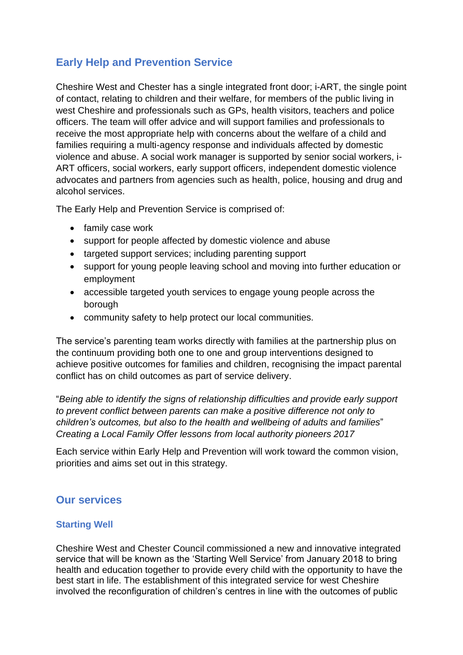# **Early Help and Prevention Service**

Cheshire West and Chester has a single integrated front door; i-ART, the single point of contact, relating to children and their welfare, for members of the public living in west Cheshire and professionals such as GPs, health visitors, teachers and police officers. The team will offer advice and will support families and professionals to receive the most appropriate help with concerns about the welfare of a child and families requiring a multi-agency response and individuals affected by domestic violence and abuse. A social work manager is supported by senior social workers, i-ART officers, social workers, early support officers, independent domestic violence advocates and partners from agencies such as health, police, housing and drug and alcohol services.

The Early Help and Prevention Service is comprised of:

- family case work
- support for people affected by domestic violence and abuse
- targeted support services; including parenting support
- support for young people leaving school and moving into further education or employment
- accessible targeted youth services to engage young people across the borough
- community safety to help protect our local communities.

The service's parenting team works directly with families at the partnership plus on the continuum providing both one to one and group interventions designed to achieve positive outcomes for families and children, recognising the impact parental conflict has on child outcomes as part of service delivery.

"*Being able to identify the signs of relationship difficulties and provide early support to prevent conflict between parents can make a positive difference not only to children's outcomes, but also to the health and wellbeing of adults and families*" *Creating a Local Family Offer lessons from local authority pioneers 2017*

Each service within Early Help and Prevention will work toward the common vision, priorities and aims set out in this strategy.

# **Our services**

### **Starting Well**

Cheshire West and Chester Council commissioned a new and innovative integrated service that will be known as the 'Starting Well Service' from January 2018 to bring health and education together to provide every child with the opportunity to have the best start in life. The establishment of this integrated service for west Cheshire involved the reconfiguration of children's centres in line with the outcomes of public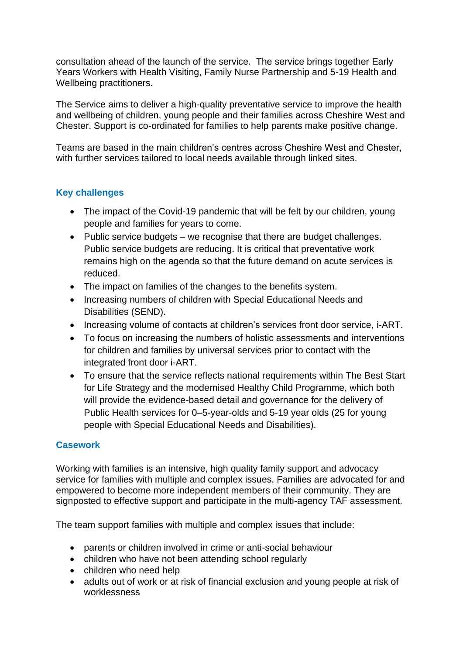consultation ahead of the launch of the service. The service brings together Early Years Workers with Health Visiting, Family Nurse Partnership and 5-19 Health and Wellbeing practitioners.

The Service aims to deliver a high-quality preventative service to improve the health and wellbeing of children, young people and their families across Cheshire West and Chester. Support is co-ordinated for families to help parents make positive change.

Teams are based in the main children's centres across Cheshire West and Chester, with further services tailored to local needs available through linked sites.

# **Key challenges**

- The impact of the Covid-19 pandemic that will be felt by our children, young people and families for years to come.
- Public service budgets we recognise that there are budget challenges. Public service budgets are reducing. It is critical that preventative work remains high on the agenda so that the future demand on acute services is reduced.
- The impact on families of the changes to the benefits system.
- Increasing numbers of children with Special Educational Needs and Disabilities (SEND).
- Increasing volume of contacts at children's services front door service, i-ART.
- To focus on increasing the numbers of holistic assessments and interventions for children and families by universal services prior to contact with the integrated front door i-ART.
- To ensure that the service reflects national requirements within The Best Start for Life Strategy and the modernised Healthy Child Programme, which both will provide the evidence-based detail and governance for the delivery of Public Health services for 0–5-year-olds and 5-19 year olds (25 for young people with Special Educational Needs and Disabilities).

## **Casework**

Working with families is an intensive, high quality family support and advocacy service for families with multiple and complex issues. Families are advocated for and empowered to become more independent members of their community. They are signposted to effective support and participate in the multi-agency TAF assessment.

The team support families with multiple and complex issues that include:

- parents or children involved in crime or anti-social behaviour
- children who have not been attending school regularly
- children who need help
- adults out of work or at risk of financial exclusion and young people at risk of worklessness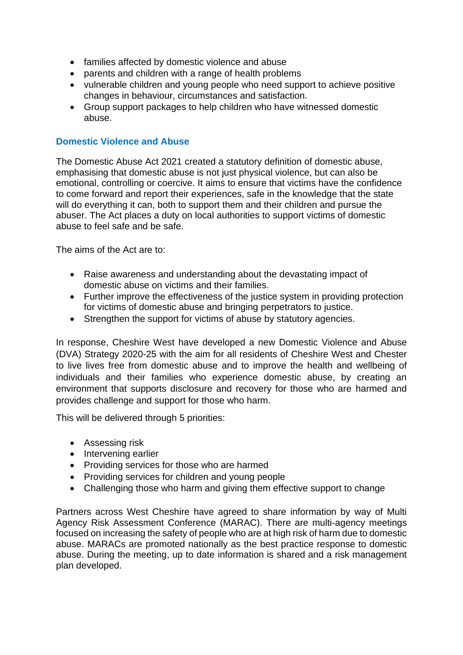- families affected by domestic violence and abuse
- parents and children with a range of health problems
- vulnerable children and young people who need support to achieve positive changes in behaviour, circumstances and satisfaction.
- Group support packages to help children who have witnessed domestic abuse.

### **Domestic Violence and Abuse**

The Domestic Abuse Act 2021 created a statutory definition of domestic abuse, emphasising that domestic abuse is not just physical violence, but can also be emotional, controlling or coercive. It aims to ensure that victims have the confidence to come forward and report their experiences, safe in the knowledge that the state will do everything it can, both to support them and their children and pursue the abuser. The Act places a duty on local authorities to support victims of domestic abuse to feel safe and be safe.

The aims of the Act are to:

- Raise awareness and understanding about the devastating impact of domestic abuse on victims and their families.
- Further improve the effectiveness of the justice system in providing protection for victims of domestic abuse and bringing perpetrators to justice.
- Strengthen the support for victims of abuse by statutory agencies.

In response, Cheshire West have developed a new Domestic Violence and Abuse (DVA) Strategy 2020-25 with the aim for all residents of Cheshire West and Chester to live lives free from domestic abuse and to improve the health and wellbeing of individuals and their families who experience domestic abuse, by creating an environment that supports disclosure and recovery for those who are harmed and provides challenge and support for those who harm.

This will be delivered through 5 priorities:

- Assessing risk
- Intervening earlier
- Providing services for those who are harmed
- Providing services for children and young people
- Challenging those who harm and giving them effective support to change

Partners across West Cheshire have agreed to share information by way of Multi Agency Risk Assessment Conference (MARAC). There are multi-agency meetings focused on increasing the safety of people who are at high risk of harm due to domestic abuse. MARACs are promoted nationally as the best practice response to domestic abuse. During the meeting, up to date information is shared and a risk management plan developed.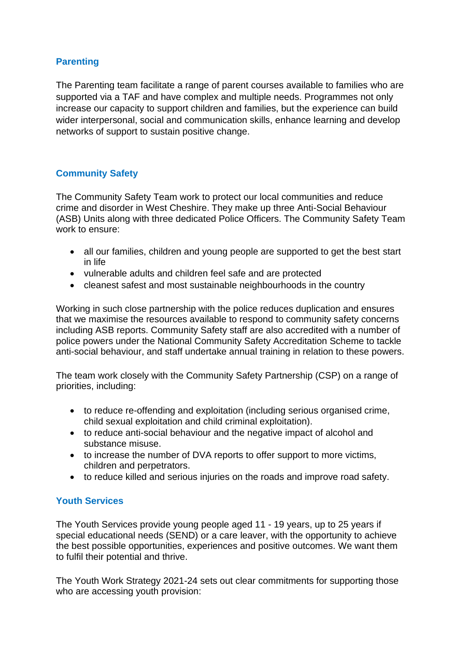## **Parenting**

The Parenting team facilitate a range of parent courses available to families who are supported via a TAF and have complex and multiple needs. Programmes not only increase our capacity to support children and families, but the experience can build wider interpersonal, social and communication skills, enhance learning and develop networks of support to sustain positive change.

# **Community Safety**

The Community Safety Team work to protect our local communities and reduce crime and disorder in West Cheshire. They make up three Anti-Social Behaviour (ASB) Units along with three dedicated Police Officers. The Community Safety Team work to ensure:

- all our families, children and young people are supported to get the best start in life
- vulnerable adults and children feel safe and are protected
- cleanest safest and most sustainable neighbourhoods in the country

Working in such close partnership with the police reduces duplication and ensures that we maximise the resources available to respond to community safety concerns including ASB reports. Community Safety staff are also accredited with a number of police powers under the National Community Safety Accreditation Scheme to tackle anti-social behaviour, and staff undertake annual training in relation to these powers.

The team work closely with the Community Safety Partnership (CSP) on a range of priorities, including:

- to reduce re-offending and exploitation (including serious organised crime, child sexual exploitation and child criminal exploitation).
- to reduce anti-social behaviour and the negative impact of alcohol and substance misuse.
- to increase the number of DVA reports to offer support to more victims, children and perpetrators.
- to reduce killed and serious injuries on the roads and improve road safety.

## **Youth Services**

The Youth Services provide young people aged 11 - 19 years, up to 25 years if special educational needs (SEND) or a care leaver, with the opportunity to achieve the best possible opportunities, experiences and positive outcomes. We want them to fulfil their potential and thrive.

The Youth Work Strategy 2021-24 sets out clear commitments for supporting those who are accessing youth provision: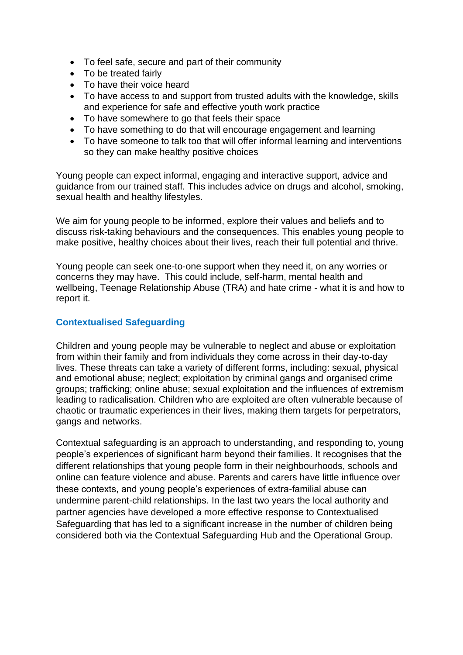- To feel safe, secure and part of their community
- To be treated fairly
- To have their voice heard
- To have access to and support from trusted adults with the knowledge, skills and experience for safe and effective youth work practice
- To have somewhere to go that feels their space
- To have something to do that will encourage engagement and learning
- To have someone to talk too that will offer informal learning and interventions so they can make healthy positive choices

Young people can expect informal, engaging and interactive support, advice and guidance from our trained staff. This includes advice on drugs and alcohol, smoking, sexual health and healthy lifestyles.

We aim for young people to be informed, explore their values and beliefs and to discuss risk-taking behaviours and the consequences. This enables young people to make positive, healthy choices about their lives, reach their full potential and thrive.

Young people can seek one-to-one support when they need it, on any worries or concerns they may have. This could include, self-harm, mental health and wellbeing, Teenage Relationship Abuse (TRA) and hate crime - what it is and how to report it.

## **Contextualised Safeguarding**

Children and young people may be vulnerable to neglect and abuse or exploitation from within their family and from individuals they come across in their day-to-day lives. These threats can take a variety of different forms, including: sexual, physical and emotional abuse; neglect; exploitation by criminal gangs and organised crime groups; trafficking; online abuse; sexual exploitation and the influences of extremism leading to radicalisation. Children who are exploited are often vulnerable because of chaotic or traumatic experiences in their lives, making them targets for perpetrators, gangs and networks.

Contextual safeguarding is an approach to understanding, and responding to, young people's experiences of significant harm beyond their families. It recognises that the different relationships that young people form in their neighbourhoods, schools and online can feature violence and abuse. Parents and carers have little influence over these contexts, and young people's experiences of extra-familial abuse can undermine parent-child relationships. In the last two years the local authority and partner agencies have developed a more effective response to Contextualised Safeguarding that has led to a significant increase in the number of children being considered both via the Contextual Safeguarding Hub and the Operational Group.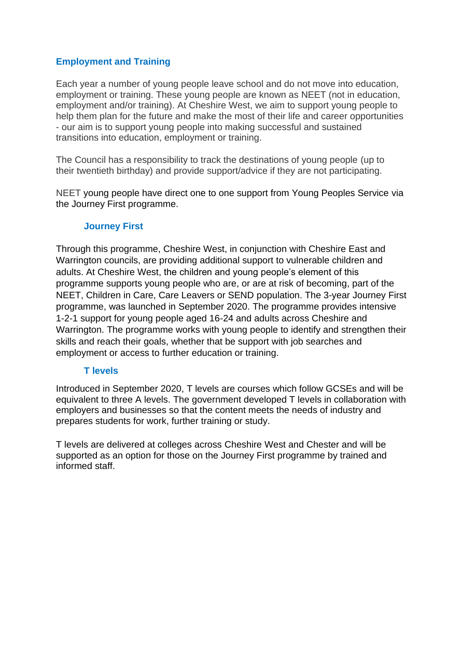## **Employment and Training**

Each year a number of young people leave school and do not move into education, employment or training. These young people are known as NEET (not in education, employment and/or training). At Cheshire West, we aim to support young people to help them plan for the future and make the most of their life and career opportunities - our aim is to support young people into making successful and sustained transitions into education, employment or training.

The Council has a responsibility to track the destinations of young people (up to their twentieth birthday) and provide support/advice if they are not participating.

NEET young people have direct one to one support from Young Peoples Service via the Journey First programme.

### **Journey First**

Through this programme, Cheshire West, in conjunction with Cheshire East and Warrington councils, are providing additional support to vulnerable children and adults. At Cheshire West, the children and young people's element of this programme supports young people who are, or are at risk of becoming, part of the NEET, Children in Care, Care Leavers or SEND population. The 3-year Journey First programme, was launched in September 2020. The programme provides intensive 1-2-1 support for young people aged 16-24 and adults across Cheshire and Warrington. The programme works with young people to identify and strengthen their skills and reach their goals, whether that be support with job searches and employment or access to further education or training.

### **T levels**

Introduced in September 2020, T levels are courses which follow GCSEs and will be equivalent to three A levels. The government developed T levels in collaboration with employers and businesses so that the content meets the needs of industry and prepares students for work, further training or study.

T levels are delivered at colleges across Cheshire West and Chester and will be supported as an option for those on the Journey First programme by trained and informed staff.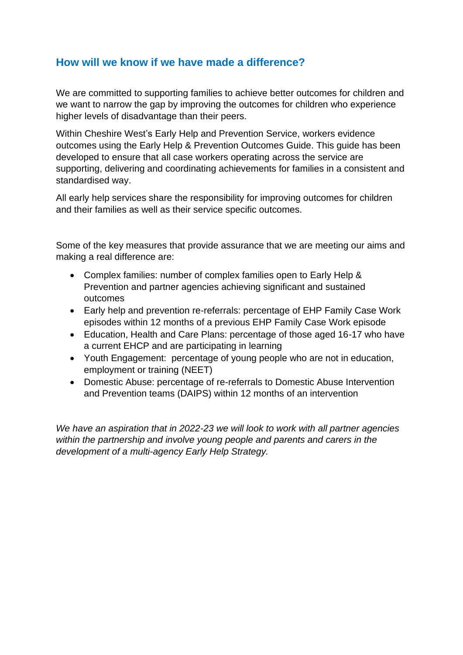# **How will we know if we have made a difference?**

We are committed to supporting families to achieve better outcomes for children and we want to narrow the gap by improving the outcomes for children who experience higher levels of disadvantage than their peers.

Within Cheshire West's Early Help and Prevention Service, workers evidence outcomes using the Early Help & Prevention Outcomes Guide. This guide has been developed to ensure that all case workers operating across the service are supporting, delivering and coordinating achievements for families in a consistent and standardised way.

All early help services share the responsibility for improving outcomes for children and their families as well as their service specific outcomes.

Some of the key measures that provide assurance that we are meeting our aims and making a real difference are:

- Complex families: number of complex families open to Early Help & Prevention and partner agencies achieving significant and sustained outcomes
- Early help and prevention re-referrals: percentage of EHP Family Case Work episodes within 12 months of a previous EHP Family Case Work episode
- Education, Health and Care Plans: percentage of those aged 16-17 who have a current EHCP and are participating in learning
- Youth Engagement: percentage of young people who are not in education, employment or training (NEET)
- Domestic Abuse: percentage of re-referrals to Domestic Abuse Intervention and Prevention teams (DAIPS) within 12 months of an intervention

*We have an aspiration that in 2022-23 we will look to work with all partner agencies within the partnership and involve young people and parents and carers in the development of a multi-agency Early Help Strategy.*